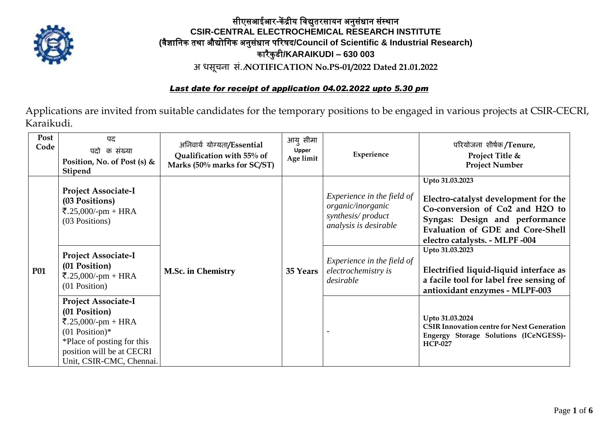

## सीएसआईआर**-**कें द्रीय विद्युतरसायन अनुसंधान संस्थान **CSIR-CENTRAL ELECTROCHEMICAL RESEARCH INSTITUTE (**िैज्ञावनक तथा औद्योविक अनुसंधान पररषद**/Council of Scientific & Industrial Research)** कारैकु डी**/KARAIKUDI – 630 003 अ िसूचना सं./NOTIFICATION No.PS-01/2022 Dated 21.01.2022**

#### *Last date for receipt of application 04.02.2022 upto 5.30 pm*

Applications are invited from suitable candidates for the temporary positions to be engaged in various projects at CSIR-CECRI, Karaikudi.

| Post<br>Code | पद<br>पदो<br>क संख्या<br>Position, No. of Post (s) $&$<br>Stipend                                                                                                            | अनिवार्य योग्यता/Essential<br>Qualification with 55% of<br>Marks (50% marks for SC/ST) | आयु सीमा<br><b>Upper</b><br>Age limit | Experience                                                                                    | परियोजना शीर्षक/Tenure,<br>Project Title &<br><b>Project Number</b>                                                                                                                                                   |
|--------------|------------------------------------------------------------------------------------------------------------------------------------------------------------------------------|----------------------------------------------------------------------------------------|---------------------------------------|-----------------------------------------------------------------------------------------------|-----------------------------------------------------------------------------------------------------------------------------------------------------------------------------------------------------------------------|
| <b>P01</b>   | <b>Project Associate-I</b><br>(03 Positions)<br>₹.25,000/-pm + HRA<br>(03 Positions)                                                                                         | <b>M.Sc. in Chemistry</b>                                                              | 35 Years                              | Experience in the field of<br>organic/inorganic<br>synthesis/product<br>analysis is desirable | Upto 31.03.2023<br>Electro-catalyst development for the<br>Co-conversion of Co2 and H2O to<br>Syngas: Design and performance<br>Evaluation of GDE and Core-Shell<br>electro catalysts. - MLPF -004<br>Upto 31.03.2023 |
|              | <b>Project Associate-I</b><br>(01 Position)<br>₹.25,000/-pm + HRA<br>(01 Position)                                                                                           |                                                                                        |                                       | Experience in the field of<br>electrochemistry is<br>desirable                                | Electrified liquid-liquid interface as<br>a facile tool for label free sensing of<br>antioxidant enzymes - MLPF-003                                                                                                   |
|              | <b>Project Associate-I</b><br>(01 Position)<br>₹.25,000/-pm + HRA<br>$(01$ Position)*<br>*Place of posting for this<br>position will be at CECRI<br>Unit, CSIR-CMC, Chennai. |                                                                                        |                                       |                                                                                               | Upto 31.03.2024<br><b>CSIR Innovation centre for Next Generation</b><br>Engergy Storage Solutions (ICeNGESS)-<br><b>HCP-027</b>                                                                                       |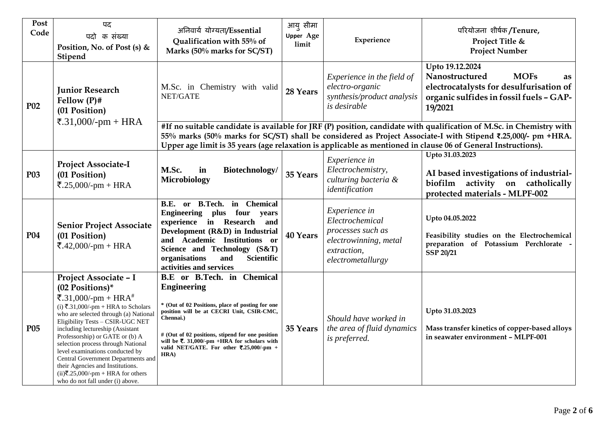| Post<br>Code    | पद<br>पदो क संख्या<br>Position, No. of Post (s) &<br>Stipend                                                                                                                                                                                                                                                                                                                                                                                                                                                       | अनिवार्य योग्यता/Essential<br>Qualification with 55% of<br>Marks (50% marks for SC/ST)                                                                                                                                                                                                                                                                       | आयु सीमा<br><b>Upper Age</b><br>limit | Experience                                                                                                         | परियोजना शीर्षक/Tenure,<br>Project Title &<br><b>Project Number</b>                                                                                     |
|-----------------|--------------------------------------------------------------------------------------------------------------------------------------------------------------------------------------------------------------------------------------------------------------------------------------------------------------------------------------------------------------------------------------------------------------------------------------------------------------------------------------------------------------------|--------------------------------------------------------------------------------------------------------------------------------------------------------------------------------------------------------------------------------------------------------------------------------------------------------------------------------------------------------------|---------------------------------------|--------------------------------------------------------------------------------------------------------------------|---------------------------------------------------------------------------------------------------------------------------------------------------------|
| <b>P02</b>      | <b>Junior Research</b><br>Fellow $(P)$ #<br>(01 Position)<br>₹.31,000/-pm + HRA                                                                                                                                                                                                                                                                                                                                                                                                                                    | M.Sc. in Chemistry with valid<br>NET/GATE                                                                                                                                                                                                                                                                                                                    | 28 Years                              | Experience in the field of<br>electro-organic<br>synthesis/product analysis<br>is desirable                        | Upto 19.12.2024<br><b>MOFs</b><br>Nanostructured<br>as<br>electrocatalysts for desulfurisation of<br>organic sulfides in fossil fuels - GAP-<br>19/2021 |
|                 |                                                                                                                                                                                                                                                                                                                                                                                                                                                                                                                    | #If no suitable candidate is available for JRF (P) position, candidate with qualification of M.Sc. in Chemistry with<br>55% marks (50% marks for SC/ST) shall be considered as Project Associate-I with Stipend ₹.25,000/- pm +HRA.<br>Upper age limit is 35 years (age relaxation is applicable as mentioned in clause 06 of General Instructions).         |                                       |                                                                                                                    |                                                                                                                                                         |
| <b>P03</b>      | Project Associate-I<br>(01 Position)<br>₹.25,000/-pm + HRA                                                                                                                                                                                                                                                                                                                                                                                                                                                         | M.Sc.<br>in<br>Biotechnology/<br>Microbiology                                                                                                                                                                                                                                                                                                                | 35 Years                              | Experience in<br>Electrochemistry,<br>culturing bacteria &<br>identification                                       | Upto 31.03.2023<br>AI based investigations of industrial-<br>biofilm activity on catholically<br>protected materials - MLPF-002                         |
| <b>P04</b>      | <b>Senior Project Associate</b><br>(01 Position)<br>₹.42,000/-pm + HRA                                                                                                                                                                                                                                                                                                                                                                                                                                             | B.E. or B.Tech. in Chemical<br>Engineering plus four years<br>experience in Research<br>and<br>Development (R&D) in Industrial<br>and Academic Institutions or<br>Science and Technology (S&T)<br>Scientific<br>organisations<br>and<br>activities and services                                                                                              | <b>40 Years</b>                       | Experience in<br>Electrochemical<br>processes such as<br>electrowinning, metal<br>extraction,<br>electrometallurgy | Upto 04.05.2022<br>Feasibility studies on the Electrochemical<br>preparation of Potassium Perchlorate -<br><b>SSP 20/21</b>                             |
| P <sub>05</sub> | Project Associate - I<br>(02 Positions)*<br>₹.31,000/-pm + HRA <sup>#</sup><br>(i) $\overline{5}.31,000/$ -pm + HRA to Scholars<br>who are selected through (a) National<br>Eligibility Tests - CSIR-UGC NET<br>including lectureship (Assistant<br>Professorship) or GATE or (b) A<br>selection process through National<br>level examinations conducted by<br>Central Government Departments and<br>their Agencies and Institutions.<br>$(ii)$ ₹.25,000/-pm + HRA for others<br>who do not fall under (i) above. | <b>B.E</b> or <b>B.Tech</b> . in Chemical<br><b>Engineering</b><br>* (Out of 02 Positions, place of posting for one<br>position will be at CECRI Unit, CSIR-CMC,<br>Chennai.)<br># (Out of 02 positions, stipend for one position<br>will be $\overline{\mathbf{z}}$ . 31,000/-pm +HRA for scholars with<br>valid NET/GATE. For other ₹.25,000/-pm +<br>HRA) | 35 Years                              | Should have worked in<br>the area of fluid dynamics<br>is preferred.                                               | Upto 31.03.2023<br>Mass transfer kinetics of copper-based alloys<br>in seawater environment - MLPF-001                                                  |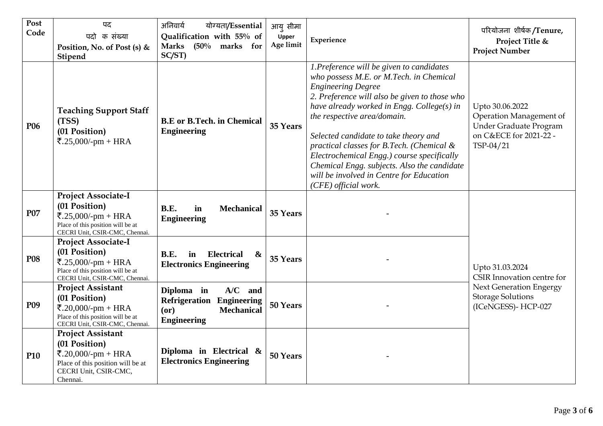| Post<br>Code    | पद<br>पदो क संख्या<br>Position, No. of Post (s) &<br>Stipend                                                                                                                                                                                                | अनिवार्य<br>योग्यता/Essential<br>Qualification with 55% of<br><b>Marks</b><br>$(50\%$ marks for<br>SC/ST) | आयु सीमा<br>Upper<br>Age limit | Experience                                                                                                                                                                                                                                                                                                                                                                                                                                                                                            | परियोजना शीर्षक/Tenure,<br>Project Title &<br><b>Project Number</b>                                         |  |
|-----------------|-------------------------------------------------------------------------------------------------------------------------------------------------------------------------------------------------------------------------------------------------------------|-----------------------------------------------------------------------------------------------------------|--------------------------------|-------------------------------------------------------------------------------------------------------------------------------------------------------------------------------------------------------------------------------------------------------------------------------------------------------------------------------------------------------------------------------------------------------------------------------------------------------------------------------------------------------|-------------------------------------------------------------------------------------------------------------|--|
| P <sub>06</sub> | <b>Teaching Support Staff</b><br>(TSS)<br>(01 Position)<br>₹.25,000/-pm + HRA                                                                                                                                                                               | <b>B.E</b> or <b>B.Tech.</b> in Chemical<br><b>Engineering</b>                                            | 35 Years                       | 1.Preference will be given to candidates<br>who possess M.E. or M.Tech. in Chemical<br><b>Engineering Degree</b><br>2. Preference will also be given to those who<br>have already worked in Engg. College(s) in<br>the respective area/domain.<br>Selected candidate to take theory and<br>practical classes for B.Tech. (Chemical &<br>Electrochemical Engg.) course specifically<br>Chemical Engg. subjects. Also the candidate<br>will be involved in Centre for Education<br>(CFE) official work. | Upto 30.06.2022<br>Operation Management of<br>Under Graduate Program<br>on C&ECE for 2021-22 -<br>TSP-04/21 |  |
| P07             | <b>Project Associate-I</b><br>(01 Position)<br>₹.25,000/-pm + HRA<br>Place of this position will be at<br>CECRI Unit, CSIR-CMC, Chennai.                                                                                                                    | <b>B.E.</b><br>in<br><b>Mechanical</b><br><b>Engineering</b>                                              | 35 Years                       |                                                                                                                                                                                                                                                                                                                                                                                                                                                                                                       |                                                                                                             |  |
| <b>P08</b>      | Project Associate-I<br>(01 Position)<br>₹.25,000/-pm + HRA<br>Place of this position will be at<br>CECRI Unit, CSIR-CMC, Chennai.                                                                                                                           | B.E.<br>in<br><b>Electrical</b><br>$\boldsymbol{\&}$<br><b>Electronics Engineering</b>                    |                                |                                                                                                                                                                                                                                                                                                                                                                                                                                                                                                       | Upto 31.03.2024<br>CSIR Innovation centre for                                                               |  |
| <b>P09</b>      | <b>Project Assistant</b><br>$A/C$ and<br>Diploma in<br>(01 Position)<br>Refrigeration<br><b>Engineering</b><br>₹.20,000/-pm + HRA<br>(or)<br><b>Mechanical</b><br>Place of this position will be at<br><b>Engineering</b><br>CECRI Unit, CSIR-CMC, Chennai. |                                                                                                           | 50 Years                       |                                                                                                                                                                                                                                                                                                                                                                                                                                                                                                       | <b>Next Generation Engergy</b><br><b>Storage Solutions</b><br>(ICeNGESS)- HCP-027                           |  |
| <b>P10</b>      | <b>Project Assistant</b><br>(01 Position)<br>₹.20,000/-pm + HRA<br>Place of this position will be at<br>CECRI Unit, CSIR-CMC,<br>Chennai.                                                                                                                   | Diploma in Electrical $\&$<br><b>Electronics Engineering</b>                                              | 50 Years                       |                                                                                                                                                                                                                                                                                                                                                                                                                                                                                                       |                                                                                                             |  |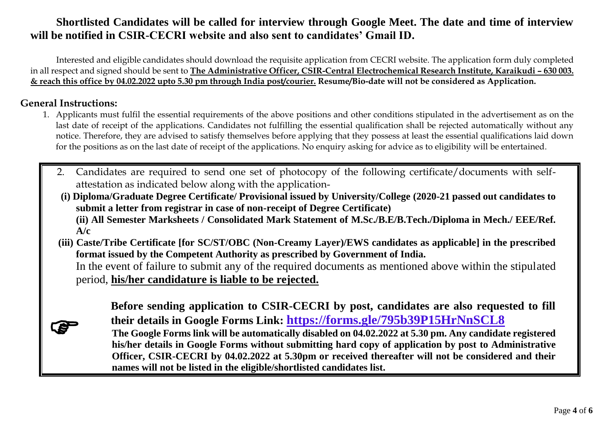# **Shortlisted Candidates will be called for interview through Google Meet. The date and time of interview will be notified in CSIR-CECRI website and also sent to candidates' Gmail ID.**

Interested and eligible candidates should download the requisite application from CECRI website. The application form duly completed in all respect and signed should be sent to **The Administrative Officer, CSIR-Central Electrochemical Research Institute, Karaikudi - 630 003. & reach this office by 04.02.2022 upto 5.30 pm through India post/courier. Resume/Bio-date will not be considered as Application.**

### **General Instructions:**

- 1. Applicants must fulfil the essential requirements of the above positions and other conditions stipulated in the advertisement as on the last date of receipt of the applications. Candidates not fulfilling the essential qualification shall be rejected automatically without any notice. Therefore, they are advised to satisfy themselves before applying that they possess at least the essential qualifications laid down for the positions as on the last date of receipt of the applications. No enquiry asking for advice as to eligibility will be entertained.
	- 2. Candidates are required to send one set of photocopy of the following certificate/documents with selfattestation as indicated below along with the application-
	- **(i) Diploma/Graduate Degree Certificate/ Provisional issued by University/College (2020-21 passed out candidates to submit a letter from registrar in case of non-receipt of Degree Certificate) (ii) All Semester Marksheets / Consolidated Mark Statement of M.Sc./B.E/B.Tech./Diploma in Mech./ EEE/Ref. A/c**
	- **(iii) Caste/Tribe Certificate [for SC/ST/OBC (Non-Creamy Layer)/EWS candidates as applicable] in the prescribed format issued by the Competent Authority as prescribed by Government of India.** In the event of failure to submit any of the required documents as mentioned above within the stipulated period, **his/her candidature is liable to be rejected.**

|              | Before sending application to CSIR-CECRI by post, candidates are also requested to fill                 |
|--------------|---------------------------------------------------------------------------------------------------------|
| $\mathbf{G}$ | their details in Google Forms Link: https://forms.gle/795b39P15HrNnSCL8                                 |
|              | The Google Forms link will be automatically disabled on 04.02.2022 at 5.30 pm. Any candidate registered |
|              | his/her details in Google Forms without submitting hard copy of application by post to Administrative   |
|              | Officer, CSIR-CECRI by 04.02.2022 at 5.30pm or received thereafter will not be considered and their     |
|              | names will not be listed in the eligible/shortlisted candidates list.                                   |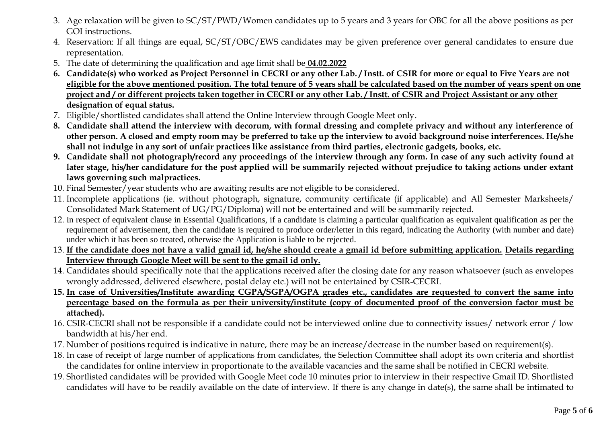- 3. Age relaxation will be given to SC/ST/PWD/Women candidates up to 5 years and 3 years for OBC for all the above positions as per GOI instructions.
- 4. Reservation: If all things are equal, SC/ST/OBC/EWS candidates may be given preference over general candidates to ensure due representation.
- 5. The date of determining the qualification and age limit shall be **04.02.2022**
- **6. Candidate(s) who worked as Project Personnel in CECRI or any other Lab. / Instt. of CSIR for more or equal to Five Years are not eligible for the above mentioned position. The total tenure of 5 years shall be calculated based on the number of years spent on one project and / or different projects taken together in CECRI or any other Lab. / Instt. of CSIR and Project Assistant or any other designation of equal status.**
- 7. Eligible/shortlisted candidates shall attend the Online Interview through Google Meet only.
- **8. Candidate shall attend the interview with decorum, with formal dressing and complete privacy and without any interference of other person. A closed and empty room may be preferred to take up the interview to avoid background noise interferences. He/she shall not indulge in any sort of unfair practices like assistance from third parties, electronic gadgets, books, etc.**
- **9. Candidate shall not photograph/record any proceedings of the interview through any form. In case of any such activity found at later stage, his/her candidature for the post applied will be summarily rejected without prejudice to taking actions under extant laws governing such malpractices.**
- 10. Final Semester/year students who are awaiting results are not eligible to be considered.
- 11. Incomplete applications (ie. without photograph, signature, community certificate (if applicable) and All Semester Marksheets/ Consolidated Mark Statement of UG/PG/Diploma) will not be entertained and will be summarily rejected.
- 12. In respect of equivalent clause in Essential Qualifications, if a candidate is claiming a particular qualification as equivalent qualification as per the requirement of advertisement, then the candidate is required to produce order/letter in this regard, indicating the Authority (with number and date) under which it has been so treated, otherwise the Application is liable to be rejected.
- 13. **If the candidate does not have a valid gmail id, he/she should create a gmail id before submitting application. Details regarding Interview through Google Meet will be sent to the gmail id only.**
- 14. Candidates should specifically note that the applications received after the closing date for any reason whatsoever (such as envelopes wrongly addressed, delivered elsewhere, postal delay etc.) will not be entertained by CSIR-CECRI.
- **15. In case of Universities/Institute awarding CGPA/SGPA/OGPA grades etc., candidates are requested to convert the same into percentage based on the formula as per their university/institute (copy of documented proof of the conversion factor must be attached).**
- 16. CSIR-CECRI shall not be responsible if a candidate could not be interviewed online due to connectivity issues/ network error / low bandwidth at his/her end.
- 17. Number of positions required is indicative in nature, there may be an increase/decrease in the number based on requirement(s).
- 18. In case of receipt of large number of applications from candidates, the Selection Committee shall adopt its own criteria and shortlist the candidates for online interview in proportionate to the available vacancies and the same shall be notified in CECRI website.
- 19. Shortlisted candidates will be provided with Google Meet code 10 minutes prior to interview in their respective Gmail ID. Shortlisted candidates will have to be readily available on the date of interview. If there is any change in date(s), the same shall be intimated to